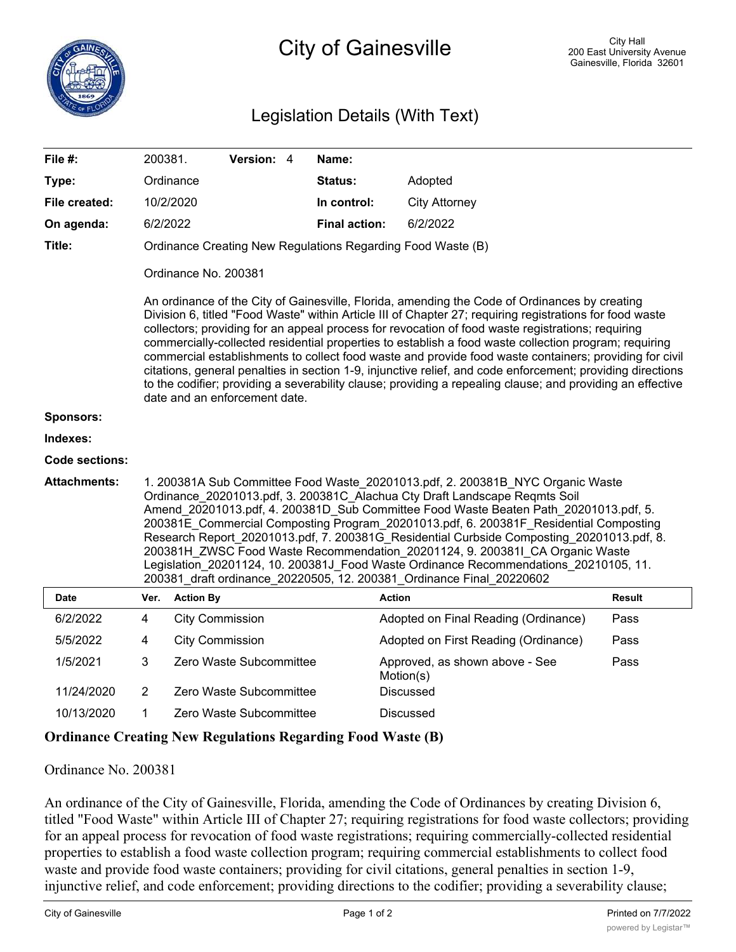## Legislation Details (With Text)

| File #:                                                            | 200381.                                                                                                                                                                                                                                                                                                                                                                                                                                                                                                                                                                                                                                                                                                                                                                                        |                        | Version: 4              |  | Name:                |                                             |               |  |
|--------------------------------------------------------------------|------------------------------------------------------------------------------------------------------------------------------------------------------------------------------------------------------------------------------------------------------------------------------------------------------------------------------------------------------------------------------------------------------------------------------------------------------------------------------------------------------------------------------------------------------------------------------------------------------------------------------------------------------------------------------------------------------------------------------------------------------------------------------------------------|------------------------|-------------------------|--|----------------------|---------------------------------------------|---------------|--|
| Type:                                                              |                                                                                                                                                                                                                                                                                                                                                                                                                                                                                                                                                                                                                                                                                                                                                                                                | Ordinance              |                         |  | Status:              | Adopted                                     |               |  |
| File created:                                                      |                                                                                                                                                                                                                                                                                                                                                                                                                                                                                                                                                                                                                                                                                                                                                                                                | 10/2/2020              |                         |  | In control:          | <b>City Attorney</b>                        |               |  |
| On agenda:                                                         | 6/2/2022                                                                                                                                                                                                                                                                                                                                                                                                                                                                                                                                                                                                                                                                                                                                                                                       |                        |                         |  | <b>Final action:</b> | 6/2/2022                                    |               |  |
| Title:                                                             | Ordinance Creating New Regulations Regarding Food Waste (B)                                                                                                                                                                                                                                                                                                                                                                                                                                                                                                                                                                                                                                                                                                                                    |                        |                         |  |                      |                                             |               |  |
|                                                                    | Ordinance No. 200381                                                                                                                                                                                                                                                                                                                                                                                                                                                                                                                                                                                                                                                                                                                                                                           |                        |                         |  |                      |                                             |               |  |
|                                                                    | An ordinance of the City of Gainesville, Florida, amending the Code of Ordinances by creating<br>Division 6, titled "Food Waste" within Article III of Chapter 27; requiring registrations for food waste<br>collectors; providing for an appeal process for revocation of food waste registrations; requiring<br>commercially-collected residential properties to establish a food waste collection program; requiring<br>commercial establishments to collect food waste and provide food waste containers; providing for civil<br>citations, general penalties in section 1-9, injunctive relief, and code enforcement; providing directions<br>to the codifier; providing a severability clause; providing a repealing clause; and providing an effective<br>date and an enforcement date. |                        |                         |  |                      |                                             |               |  |
| <b>Sponsors:</b>                                                   |                                                                                                                                                                                                                                                                                                                                                                                                                                                                                                                                                                                                                                                                                                                                                                                                |                        |                         |  |                      |                                             |               |  |
| Indexes:                                                           |                                                                                                                                                                                                                                                                                                                                                                                                                                                                                                                                                                                                                                                                                                                                                                                                |                        |                         |  |                      |                                             |               |  |
| Code sections:                                                     |                                                                                                                                                                                                                                                                                                                                                                                                                                                                                                                                                                                                                                                                                                                                                                                                |                        |                         |  |                      |                                             |               |  |
| <b>Attachments:</b>                                                | 1. 200381A Sub Committee Food Waste 20201013.pdf, 2. 200381B NYC Organic Waste<br>Ordinance 20201013.pdf, 3. 200381C Alachua Cty Draft Landscape Regmts Soil<br>Amend_20201013.pdf, 4. 200381D_Sub Committee Food Waste Beaten Path_20201013.pdf, 5.<br>200381E Commercial Composting Program_20201013.pdf, 6. 200381F Residential Composting<br>Research Report_20201013.pdf, 7. 200381G_Residential Curbside Composting_20201013.pdf, 8.<br>200381H ZWSC Food Waste Recommendation 20201124, 9. 200381I CA Organic Waste<br>Legislation_20201124, 10. 200381J_Food Waste Ordinance Recommendations_20210105, 11.<br>200381_draft ordinance_20220505, 12. 200381_Ordinance Final_20220602                                                                                                     |                        |                         |  |                      |                                             |               |  |
| <b>Date</b>                                                        | Ver.                                                                                                                                                                                                                                                                                                                                                                                                                                                                                                                                                                                                                                                                                                                                                                                           | <b>Action By</b>       |                         |  |                      | <b>Action</b>                               | <b>Result</b> |  |
| 6/2/2022                                                           | 4                                                                                                                                                                                                                                                                                                                                                                                                                                                                                                                                                                                                                                                                                                                                                                                              | <b>City Commission</b> |                         |  |                      | Adopted on Final Reading (Ordinance)        | Pass          |  |
| 5/5/2022                                                           | 4                                                                                                                                                                                                                                                                                                                                                                                                                                                                                                                                                                                                                                                                                                                                                                                              | <b>City Commission</b> |                         |  |                      | Adopted on First Reading (Ordinance)        | Pass          |  |
| 1/5/2021                                                           | 3                                                                                                                                                                                                                                                                                                                                                                                                                                                                                                                                                                                                                                                                                                                                                                                              |                        | Zero Waste Subcommittee |  |                      | Approved, as shown above - See<br>Motion(s) | Pass          |  |
| 11/24/2020                                                         | $\overline{2}$                                                                                                                                                                                                                                                                                                                                                                                                                                                                                                                                                                                                                                                                                                                                                                                 |                        | Zero Waste Subcommittee |  |                      | <b>Discussed</b>                            |               |  |
| 10/13/2020                                                         | 1                                                                                                                                                                                                                                                                                                                                                                                                                                                                                                                                                                                                                                                                                                                                                                                              |                        | Zero Waste Subcommittee |  |                      | Discussed                                   |               |  |
| <b>Ordinance Creating New Regulations Regarding Food Waste (B)</b> |                                                                                                                                                                                                                                                                                                                                                                                                                                                                                                                                                                                                                                                                                                                                                                                                |                        |                         |  |                      |                                             |               |  |

Ordinance No. 200381

An ordinance of the City of Gainesville, Florida, amending the Code of Ordinances by creating Division 6, titled "Food Waste" within Article III of Chapter 27; requiring registrations for food waste collectors; providing for an appeal process for revocation of food waste registrations; requiring commercially-collected residential properties to establish a food waste collection program; requiring commercial establishments to collect food waste and provide food waste containers; providing for civil citations, general penalties in section 1-9, injunctive relief, and code enforcement; providing directions to the codifier; providing a severability clause;